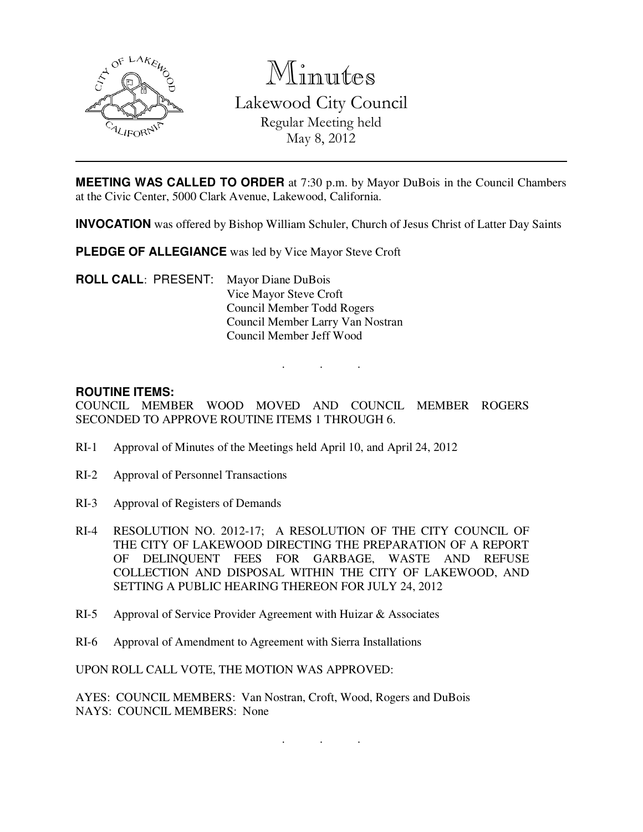

Minutes Lakewood City Council Regular Meeting held May 8, 2012

**MEETING WAS CALLED TO ORDER** at 7:30 p.m. by Mayor DuBois in the Council Chambers at the Civic Center, 5000 Clark Avenue, Lakewood, California.

**INVOCATION** was offered by Bishop William Schuler, Church of Jesus Christ of Latter Day Saints

**PLEDGE OF ALLEGIANCE** was led by Vice Mayor Steve Croft

**ROLL CALL**: PRESENT: Mayor Diane DuBois Vice Mayor Steve Croft Council Member Todd Rogers Council Member Larry Van Nostran Council Member Jeff Wood

#### **ROUTINE ITEMS:**

COUNCIL MEMBER WOOD MOVED AND COUNCIL MEMBER ROGERS SECONDED TO APPROVE ROUTINE ITEMS 1 THROUGH 6.

. . .

- RI-1 Approval of Minutes of the Meetings held April 10, and April 24, 2012
- RI-2 Approval of Personnel Transactions
- RI-3 Approval of Registers of Demands
- RI-4 RESOLUTION NO. 2012-17; A RESOLUTION OF THE CITY COUNCIL OF THE CITY OF LAKEWOOD DIRECTING THE PREPARATION OF A REPORT OF DELINQUENT FEES FOR GARBAGE, WASTE AND REFUSE COLLECTION AND DISPOSAL WITHIN THE CITY OF LAKEWOOD, AND SETTING A PUBLIC HEARING THEREON FOR JULY 24, 2012
- RI-5 Approval of Service Provider Agreement with Huizar & Associates
- RI-6 Approval of Amendment to Agreement with Sierra Installations

UPON ROLL CALL VOTE, THE MOTION WAS APPROVED:

AYES: COUNCIL MEMBERS: Van Nostran, Croft, Wood, Rogers and DuBois NAYS: COUNCIL MEMBERS: None

. . .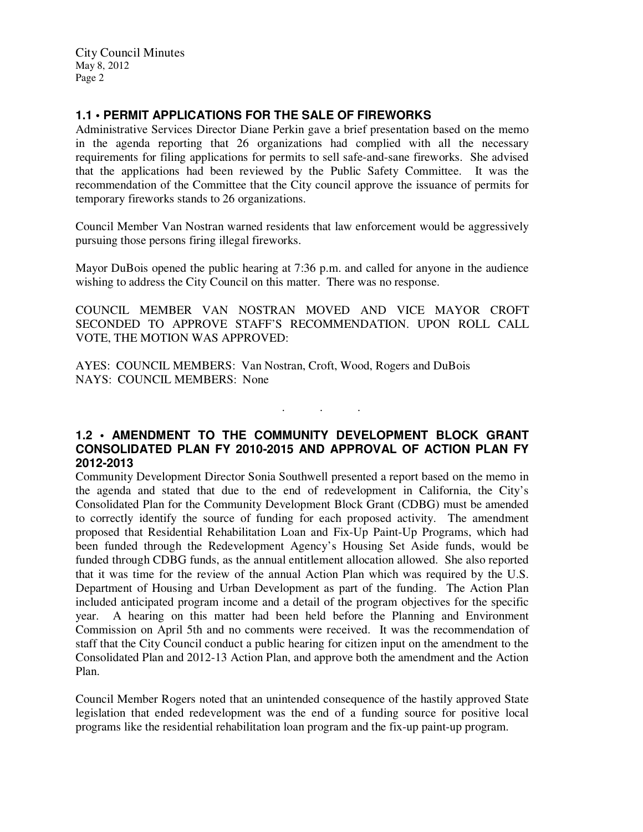# **1.1 • PERMIT APPLICATIONS FOR THE SALE OF FIREWORKS**

Administrative Services Director Diane Perkin gave a brief presentation based on the memo in the agenda reporting that 26 organizations had complied with all the necessary requirements for filing applications for permits to sell safe-and-sane fireworks. She advised that the applications had been reviewed by the Public Safety Committee. It was the recommendation of the Committee that the City council approve the issuance of permits for temporary fireworks stands to 26 organizations.

Council Member Van Nostran warned residents that law enforcement would be aggressively pursuing those persons firing illegal fireworks.

Mayor DuBois opened the public hearing at 7:36 p.m. and called for anyone in the audience wishing to address the City Council on this matter. There was no response.

COUNCIL MEMBER VAN NOSTRAN MOVED AND VICE MAYOR CROFT SECONDED TO APPROVE STAFF'S RECOMMENDATION. UPON ROLL CALL VOTE, THE MOTION WAS APPROVED:

AYES: COUNCIL MEMBERS: Van Nostran, Croft, Wood, Rogers and DuBois NAYS: COUNCIL MEMBERS: None

### **1.2 • AMENDMENT TO THE COMMUNITY DEVELOPMENT BLOCK GRANT CONSOLIDATED PLAN FY 2010-2015 AND APPROVAL OF ACTION PLAN FY 2012-2013**

. . .

Community Development Director Sonia Southwell presented a report based on the memo in the agenda and stated that due to the end of redevelopment in California, the City's Consolidated Plan for the Community Development Block Grant (CDBG) must be amended to correctly identify the source of funding for each proposed activity. The amendment proposed that Residential Rehabilitation Loan and Fix-Up Paint-Up Programs, which had been funded through the Redevelopment Agency's Housing Set Aside funds, would be funded through CDBG funds, as the annual entitlement allocation allowed. She also reported that it was time for the review of the annual Action Plan which was required by the U.S. Department of Housing and Urban Development as part of the funding. The Action Plan included anticipated program income and a detail of the program objectives for the specific year. A hearing on this matter had been held before the Planning and Environment Commission on April 5th and no comments were received. It was the recommendation of staff that the City Council conduct a public hearing for citizen input on the amendment to the Consolidated Plan and 2012-13 Action Plan, and approve both the amendment and the Action Plan.

Council Member Rogers noted that an unintended consequence of the hastily approved State legislation that ended redevelopment was the end of a funding source for positive local programs like the residential rehabilitation loan program and the fix-up paint-up program.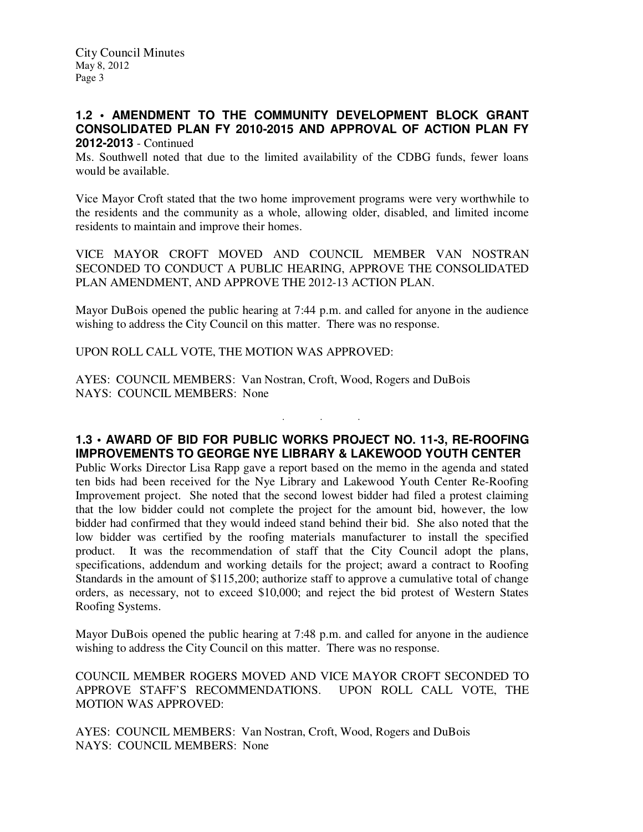City Council Minutes May 8, 2012 Page 3

#### **1.2 • AMENDMENT TO THE COMMUNITY DEVELOPMENT BLOCK GRANT CONSOLIDATED PLAN FY 2010-2015 AND APPROVAL OF ACTION PLAN FY 2012-2013** - Continued

Ms. Southwell noted that due to the limited availability of the CDBG funds, fewer loans would be available.

Vice Mayor Croft stated that the two home improvement programs were very worthwhile to the residents and the community as a whole, allowing older, disabled, and limited income residents to maintain and improve their homes.

VICE MAYOR CROFT MOVED AND COUNCIL MEMBER VAN NOSTRAN SECONDED TO CONDUCT A PUBLIC HEARING, APPROVE THE CONSOLIDATED PLAN AMENDMENT, AND APPROVE THE 2012-13 ACTION PLAN.

Mayor DuBois opened the public hearing at 7:44 p.m. and called for anyone in the audience wishing to address the City Council on this matter. There was no response.

UPON ROLL CALL VOTE, THE MOTION WAS APPROVED:

AYES: COUNCIL MEMBERS: Van Nostran, Croft, Wood, Rogers and DuBois NAYS: COUNCIL MEMBERS: None

# **1.3 • AWARD OF BID FOR PUBLIC WORKS PROJECT NO. 11-3, RE-ROOFING IMPROVEMENTS TO GEORGE NYE LIBRARY & LAKEWOOD YOUTH CENTER**

. . .

Public Works Director Lisa Rapp gave a report based on the memo in the agenda and stated ten bids had been received for the Nye Library and Lakewood Youth Center Re-Roofing Improvement project. She noted that the second lowest bidder had filed a protest claiming that the low bidder could not complete the project for the amount bid, however, the low bidder had confirmed that they would indeed stand behind their bid. She also noted that the low bidder was certified by the roofing materials manufacturer to install the specified product. It was the recommendation of staff that the City Council adopt the plans, specifications, addendum and working details for the project; award a contract to Roofing Standards in the amount of \$115,200; authorize staff to approve a cumulative total of change orders, as necessary, not to exceed \$10,000; and reject the bid protest of Western States Roofing Systems.

Mayor DuBois opened the public hearing at 7:48 p.m. and called for anyone in the audience wishing to address the City Council on this matter. There was no response.

COUNCIL MEMBER ROGERS MOVED AND VICE MAYOR CROFT SECONDED TO APPROVE STAFF'S RECOMMENDATIONS. UPON ROLL CALL VOTE, THE MOTION WAS APPROVED:

AYES: COUNCIL MEMBERS: Van Nostran, Croft, Wood, Rogers and DuBois NAYS: COUNCIL MEMBERS: None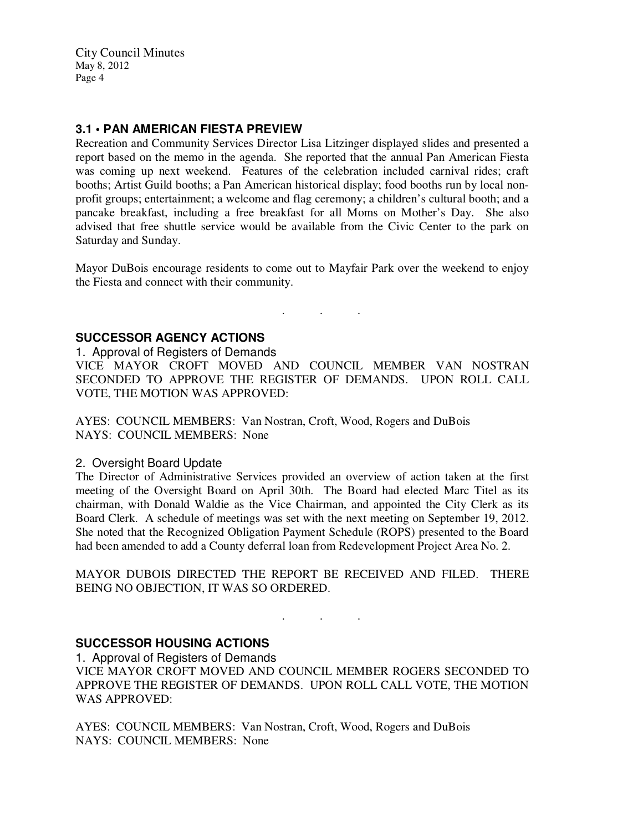City Council Minutes May 8, 2012 Page 4

### **3.1 • PAN AMERICAN FIESTA PREVIEW**

Recreation and Community Services Director Lisa Litzinger displayed slides and presented a report based on the memo in the agenda. She reported that the annual Pan American Fiesta was coming up next weekend. Features of the celebration included carnival rides; craft booths; Artist Guild booths; a Pan American historical display; food booths run by local nonprofit groups; entertainment; a welcome and flag ceremony; a children's cultural booth; and a pancake breakfast, including a free breakfast for all Moms on Mother's Day. She also advised that free shuttle service would be available from the Civic Center to the park on Saturday and Sunday.

Mayor DuBois encourage residents to come out to Mayfair Park over the weekend to enjoy the Fiesta and connect with their community.

. . .

# **SUCCESSOR AGENCY ACTIONS**

1. Approval of Registers of Demands

VICE MAYOR CROFT MOVED AND COUNCIL MEMBER VAN NOSTRAN SECONDED TO APPROVE THE REGISTER OF DEMANDS. UPON ROLL CALL VOTE, THE MOTION WAS APPROVED:

AYES: COUNCIL MEMBERS: Van Nostran, Croft, Wood, Rogers and DuBois NAYS: COUNCIL MEMBERS: None

#### 2. Oversight Board Update

The Director of Administrative Services provided an overview of action taken at the first meeting of the Oversight Board on April 30th. The Board had elected Marc Titel as its chairman, with Donald Waldie as the Vice Chairman, and appointed the City Clerk as its Board Clerk. A schedule of meetings was set with the next meeting on September 19, 2012. She noted that the Recognized Obligation Payment Schedule (ROPS) presented to the Board had been amended to add a County deferral loan from Redevelopment Project Area No. 2.

MAYOR DUBOIS DIRECTED THE REPORT BE RECEIVED AND FILED. THERE BEING NO OBJECTION, IT WAS SO ORDERED.

. . .

### **SUCCESSOR HOUSING ACTIONS**

1. Approval of Registers of Demands

VICE MAYOR CROFT MOVED AND COUNCIL MEMBER ROGERS SECONDED TO APPROVE THE REGISTER OF DEMANDS. UPON ROLL CALL VOTE, THE MOTION WAS APPROVED:

AYES: COUNCIL MEMBERS: Van Nostran, Croft, Wood, Rogers and DuBois NAYS: COUNCIL MEMBERS: None